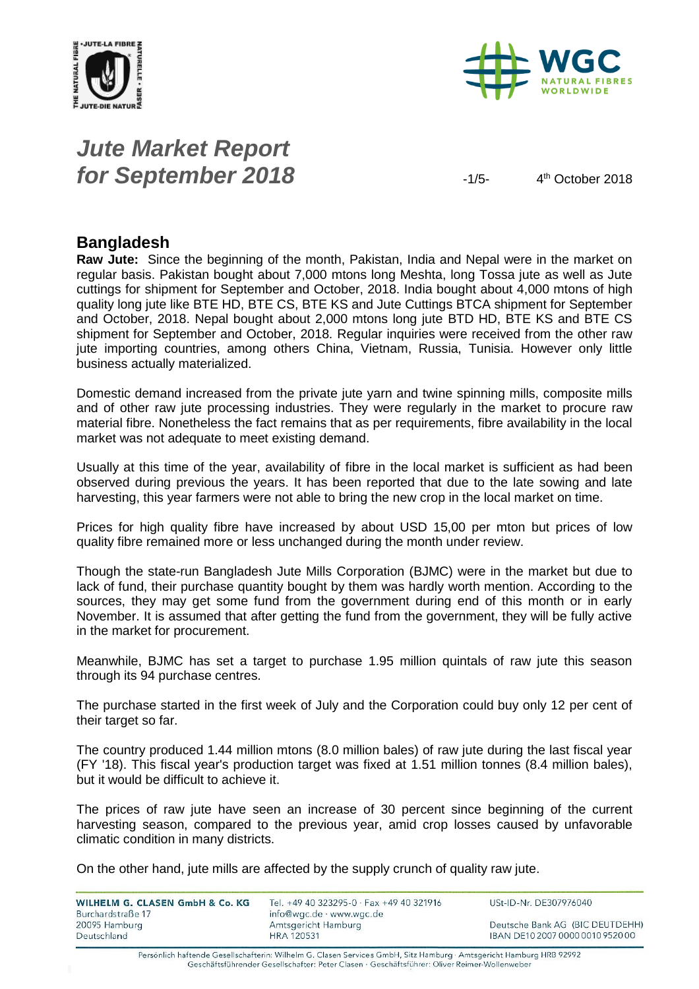



# *Jute Market Report for September 2018*  $-1/5-$

4<sup>th</sup> October 2018

### **Bangladesh**

**Raw Jute:** Since the beginning of the month, Pakistan, India and Nepal were in the market on regular basis. Pakistan bought about 7,000 mtons long Meshta, long Tossa jute as well as Jute cuttings for shipment for September and October, 2018. India bought about 4,000 mtons of high quality long jute like BTE HD, BTE CS, BTE KS and Jute Cuttings BTCA shipment for September and October, 2018. Nepal bought about 2,000 mtons long jute BTD HD, BTE KS and BTE CS shipment for September and October, 2018. Regular inquiries were received from the other raw jute importing countries, among others China, Vietnam, Russia, Tunisia. However only little business actually materialized.

Domestic demand increased from the private jute yarn and twine spinning mills, composite mills and of other raw jute processing industries. They were regularly in the market to procure raw material fibre. Nonetheless the fact remains that as per requirements, fibre availability in the local market was not adequate to meet existing demand.

Usually at this time of the year, availability of fibre in the local market is sufficient as had been observed during previous the years. It has been reported that due to the late sowing and late harvesting, this year farmers were not able to bring the new crop in the local market on time.

Prices for high quality fibre have increased by about USD 15,00 per mton but prices of low quality fibre remained more or less unchanged during the month under review.

Though the state-run Bangladesh Jute Mills Corporation (BJMC) were in the market but due to lack of fund, their purchase quantity bought by them was hardly worth mention. According to the sources, they may get some fund from the government during end of this month or in early November. It is assumed that after getting the fund from the government, they will be fully active in the market for procurement.

Meanwhile, BJMC has set a target to purchase 1.95 million quintals of raw jute this season through its 94 purchase centres.

The purchase started in the first week of July and the Corporation could buy only 12 per cent of their target so far.

The country produced 1.44 million mtons (8.0 million bales) of raw jute during the last fiscal year (FY '18). This fiscal year's production target was fixed at 1.51 million tonnes (8.4 million bales), but it would be difficult to achieve it.

The prices of raw jute have seen an increase of 30 percent since beginning of the current harvesting season, compared to the previous year, amid crop losses caused by unfavorable climatic condition in many districts.

On the other hand, jute mills are affected by the supply crunch of quality raw jute.

| WILHELM G. CLASEN GmbH & Co. KG<br>Burchardstraße 17 | Tel. +49 40 323295-0 · Fax +49 40 321916<br>info@wgc.de · www.wgc.de | USt-ID-Nr. DE307976040           |
|------------------------------------------------------|----------------------------------------------------------------------|----------------------------------|
| 20095 Hamburg                                        | Amtsgericht Hamburg                                                  | Deutsche Bank AG (BIC DEUTDEHH)  |
| Deutschland                                          | HRA 120531                                                           | IBAN DE10 2007 0000 0010 9520 00 |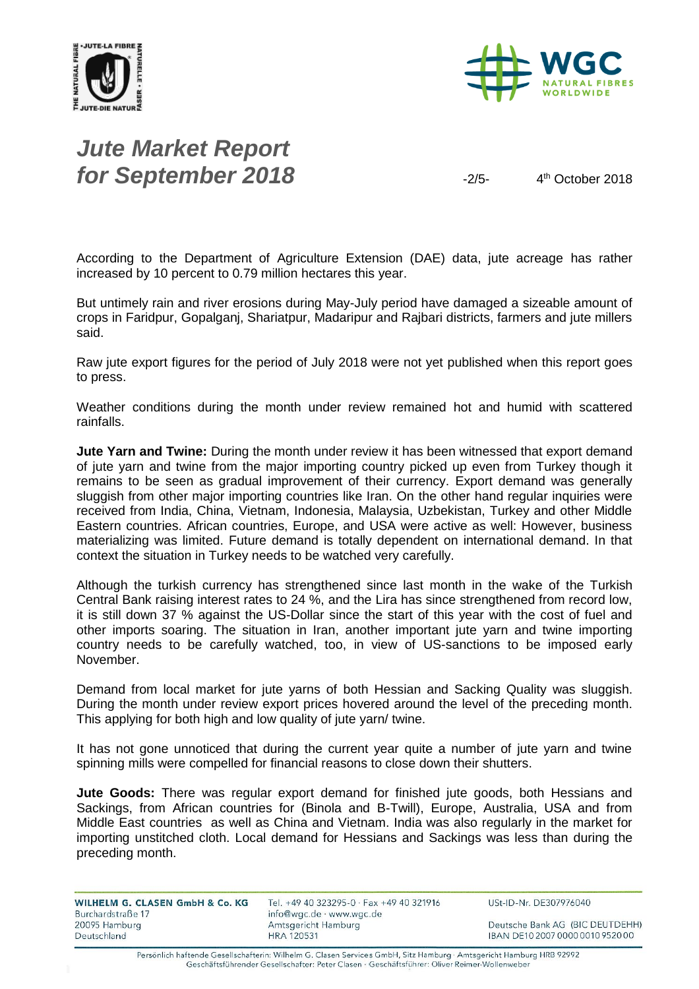



# *Jute Market Report for September 2018*  $\frac{2}{5}$

4<sup>th</sup> October 2018

According to the Department of Agriculture Extension (DAE) data, jute acreage has rather increased by 10 percent to 0.79 million hectares this year.

But untimely rain and river erosions during May-July period have damaged a sizeable amount of crops in Faridpur, Gopalganj, Shariatpur, Madaripur and Rajbari districts, farmers and jute millers said.

Raw jute export figures for the period of July 2018 were not yet published when this report goes to press.

Weather conditions during the month under review remained hot and humid with scattered rainfalls.

**Jute Yarn and Twine:** During the month under review it has been witnessed that export demand of jute yarn and twine from the major importing country picked up even from Turkey though it remains to be seen as gradual improvement of their currency. Export demand was generally sluggish from other major importing countries like Iran. On the other hand regular inquiries were received from India, China, Vietnam, Indonesia, Malaysia, Uzbekistan, Turkey and other Middle Eastern countries. African countries, Europe, and USA were active as well: However, business materializing was limited. Future demand is totally dependent on international demand. In that context the situation in Turkey needs to be watched very carefully.

Although the turkish currency has strengthened since last month in the wake of the Turkish Central Bank raising interest rates to 24 %, and the Lira has since strengthened from record low, it is still down 37 % against the US-Dollar since the start of this year with the cost of fuel and other imports soaring. The situation in Iran, another important jute yarn and twine importing country needs to be carefully watched, too, in view of US-sanctions to be imposed early November.

Demand from local market for jute yarns of both Hessian and Sacking Quality was sluggish. During the month under review export prices hovered around the level of the preceding month. This applying for both high and low quality of jute yarn/ twine.

It has not gone unnoticed that during the current year quite a number of jute yarn and twine spinning mills were compelled for financial reasons to close down their shutters.

**Jute Goods:** There was regular export demand for finished jute goods, both Hessians and Sackings, from African countries for (Binola and B-Twill), Europe, Australia, USA and from Middle East countries as well as China and Vietnam. India was also regularly in the market for importing unstitched cloth. Local demand for Hessians and Sackings was less than during the preceding month.

| WILHELM G. CLASEN GmbH & Co. KG<br>Burchardstraße 17 | Tel. +49 40 323295-0 · Fax +49 40 321916<br>info@wgc.de · www.wgc.de | USt-ID-Nr. DE307976040           |
|------------------------------------------------------|----------------------------------------------------------------------|----------------------------------|
| 20095 Hamburg                                        | Amtsgericht Hamburg                                                  | Deutsche Bank AG (BIC DEUTDEHH)  |
| Deutschland                                          | <b>HRA 120531</b>                                                    | IBAN DE10 2007 0000 0010 9520 00 |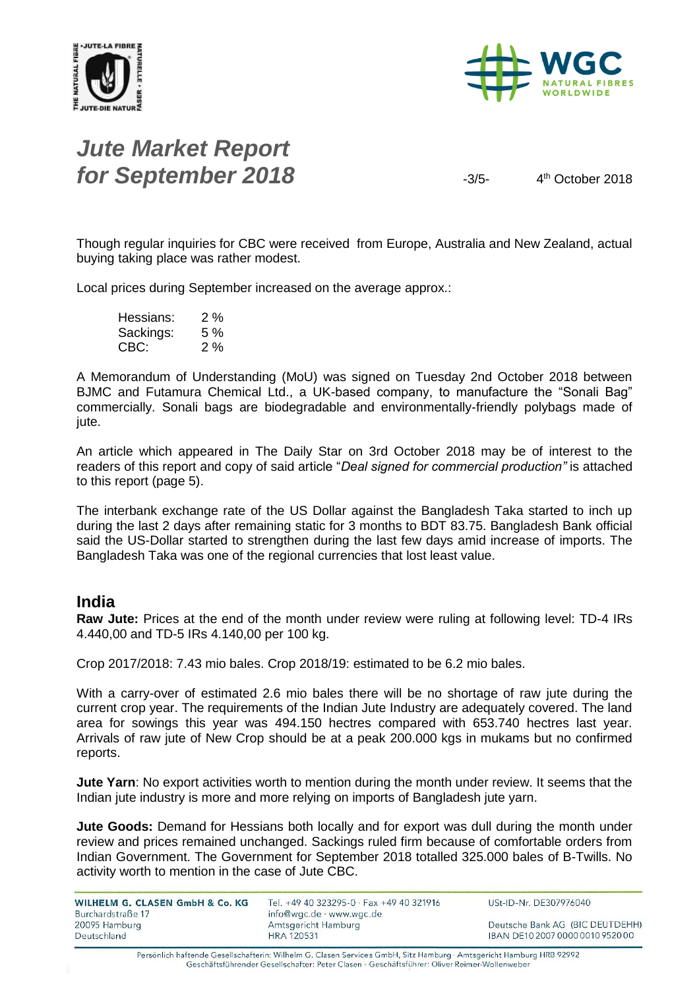



# *Jute Market Report for September 2018*  $\frac{3}{5}$

4<sup>th</sup> October 2018

Though regular inquiries for CBC were received from Europe, Australia and New Zealand, actual buying taking place was rather modest.

Local prices during September increased on the average approx.:

Hessians: 2 % Sackings: 5 % CBC: 2 %

A Memorandum of Understanding (MoU) was signed on Tuesday 2nd October 2018 between BJMC and Futamura Chemical Ltd., a UK-based company, to manufacture the "Sonali Bag" commercially. Sonali bags are biodegradable and environmentally-friendly polybags made of jute.

An article which appeared in The Daily Star on 3rd October 2018 may be of interest to the readers of this report and copy of said article "*Deal signed for commercial production"* is attached to this report (page 5).

The interbank exchange rate of the US Dollar against the Bangladesh Taka started to inch up during the last 2 days after remaining static for 3 months to BDT 83.75. Bangladesh Bank official said the US-Dollar started to strengthen during the last few days amid increase of imports. The Bangladesh Taka was one of the regional currencies that lost least value.

### **India**

**Raw Jute:** Prices at the end of the month under review were ruling at following level: TD-4 IRs 4.440,00 and TD-5 IRs 4.140,00 per 100 kg.

Crop 2017/2018: 7.43 mio bales. Crop 2018/19: estimated to be 6.2 mio bales.

With a carry-over of estimated 2.6 mio bales there will be no shortage of raw jute during the current crop year. The requirements of the Indian Jute Industry are adequately covered. The land area for sowings this year was 494.150 hectres compared with 653.740 hectres last year. Arrivals of raw jute of New Crop should be at a peak 200.000 kgs in mukams but no confirmed reports.

**Jute Yarn**: No export activities worth to mention during the month under review. It seems that the Indian jute industry is more and more relying on imports of Bangladesh jute yarn.

**Jute Goods:** Demand for Hessians both locally and for export was dull during the month under review and prices remained unchanged. Sackings ruled firm because of comfortable orders from Indian Government. The Government for September 2018 totalled 325.000 bales of B-Twills. No activity worth to mention in the case of Jute CBC.

| WILHELM G. CLASEN GmbH & Co. KG | Tel. +49 40 323295-0 · Fax +49 40 321916 | USt-ID-Nr. DE307976040           |
|---------------------------------|------------------------------------------|----------------------------------|
| Burchardstraße 17               | info@wgc.de · www.wgc.de                 |                                  |
| 20095 Hamburg                   | Amtsgericht Hamburg                      | Deutsche Bank AG (BIC DEUTDEHH)  |
| Deutschland                     | <b>HRA 120531</b>                        | IBAN DE10 2007 0000 0010 9520 00 |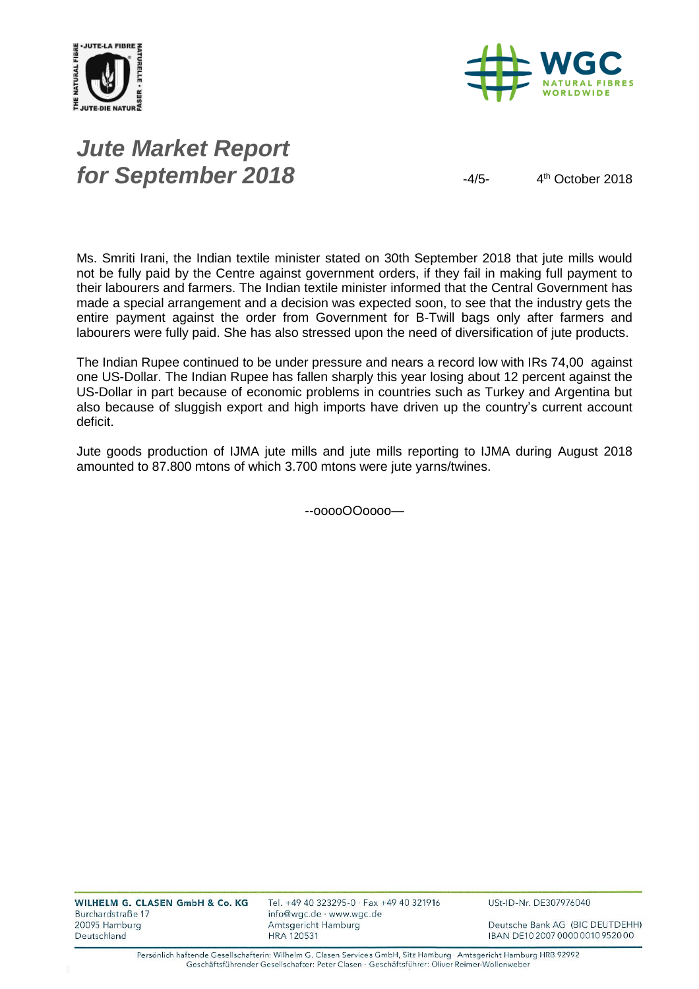



# *Jute Market Report for September 2018*  $4/5$ -4/5-

4<sup>th</sup> October 2018

Ms. Smriti Irani, the Indian textile minister stated on 30th September 2018 that jute mills would not be fully paid by the Centre against government orders, if they fail in making full payment to their labourers and farmers. The Indian textile minister informed that the Central Government has made a special arrangement and a decision was expected soon, to see that the industry gets the entire payment against the order from Government for B-Twill bags only after farmers and labourers were fully paid. She has also stressed upon the need of diversification of jute products.

The Indian Rupee continued to be under pressure and nears a record low with IRs 74,00 against one US-Dollar. The Indian Rupee has fallen sharply this year losing about 12 percent against the US-Dollar in part because of economic problems in countries such as Turkey and Argentina but also because of sluggish export and high imports have driven up the country's current account deficit.

Jute goods production of IJMA jute mills and jute mills reporting to IJMA during August 2018 amounted to 87.800 mtons of which 3.700 mtons were jute yarns/twines.

--ooooOOoooo—